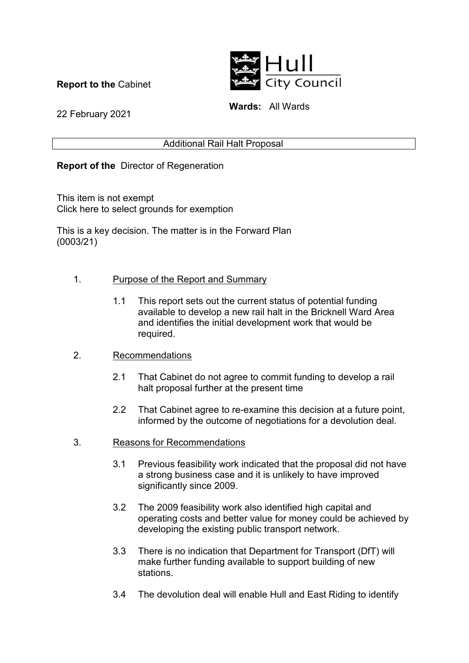**Report to the** Cabinet



**Wards:** All Wards

22 February 2021

### Additional Rail Halt Proposal

## **Report of the** Director of Regeneration

This item is not exempt Click here to select grounds for exemption

This is a key decision. The matter is in the Forward Plan (0003/21)

### 1. Purpose of the Report and Summary

 1.1 This report sets out the current status of potential funding available to develop a new rail halt in the Bricknell Ward Area and identifies the initial development work that would be required.

#### 2. Recommendations

- 2.1 That Cabinet do not agree to commit funding to develop a rail halt proposal further at the present time
- 2.2 That Cabinet agree to re-examine this decision at a future point, informed by the outcome of negotiations for a devolution deal.
- 3. Reasons for Recommendations
	- 3.1 Previous feasibility work indicated that the proposal did not have a strong business case and it is unlikely to have improved significantly since 2009.
	- 3.2 The 2009 feasibility work also identified high capital and operating costs and better value for money could be achieved by developing the existing public transport network.
	- 3.3 There is no indication that Department for Transport (DfT) will make further funding available to support building of new stations.
	- 3.4 The devolution deal will enable Hull and East Riding to identify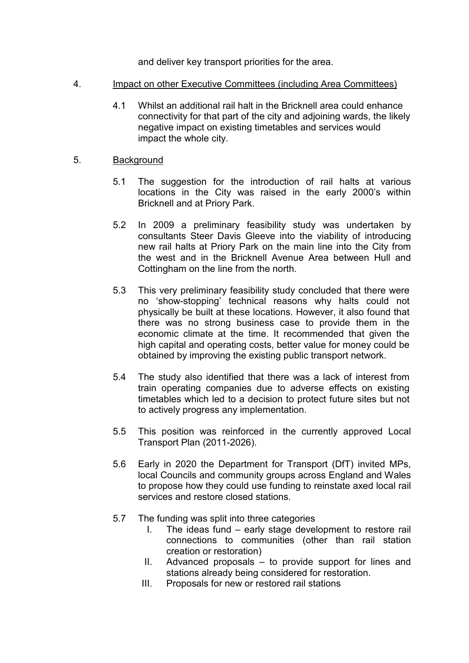and deliver key transport priorities for the area.

- 4. Impact on other Executive Committees (including Area Committees)
	- 4.1 Whilst an additional rail halt in the Bricknell area could enhance connectivity for that part of the city and adjoining wards, the likely negative impact on existing timetables and services would impact the whole city.
- 5. Background
	- 5.1 The suggestion for the introduction of rail halts at various locations in the City was raised in the early 2000's within Bricknell and at Priory Park.
	- 5.2 In 2009 a preliminary feasibility study was undertaken by consultants Steer Davis Gleeve into the viability of introducing new rail halts at Priory Park on the main line into the City from the west and in the Bricknell Avenue Area between Hull and Cottingham on the line from the north.
	- 5.3 This very preliminary feasibility study concluded that there were no 'show-stopping' technical reasons why halts could not physically be built at these locations. However, it also found that there was no strong business case to provide them in the economic climate at the time. It recommended that given the high capital and operating costs, better value for money could be obtained by improving the existing public transport network.
	- 5.4 The study also identified that there was a lack of interest from train operating companies due to adverse effects on existing timetables which led to a decision to protect future sites but not to actively progress any implementation.
	- 5.5 This position was reinforced in the currently approved Local Transport Plan (2011-2026).
	- 5.6 Early in 2020 the Department for Transport (DfT) invited MPs, local Councils and community groups across England and Wales to propose how they could use funding to reinstate axed local rail services and restore closed stations.
	- 5.7 The funding was split into three categories
		- I. The ideas fund early stage development to restore rail connections to communities (other than rail station creation or restoration)
		- II. Advanced proposals to provide support for lines and stations already being considered for restoration.
		- III. Proposals for new or restored rail stations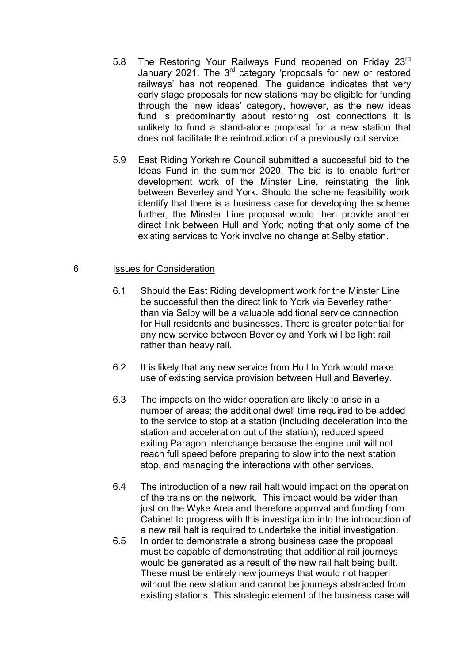- 5.8 The Restoring Your Railways Fund reopened on Friday 23rd January 2021. The 3rd category 'proposals for new or restored railways' has not reopened. The guidance indicates that very early stage proposals for new stations may be eligible for funding through the 'new ideas' category, however, as the new ideas fund is predominantly about restoring lost connections it is unlikely to fund a stand-alone proposal for a new station that does not facilitate the reintroduction of a previously cut service.
- 5.9 East Riding Yorkshire Council submitted a successful bid to the Ideas Fund in the summer 2020. The bid is to enable further development work of the Minster Line, reinstating the link between Beverley and York. Should the scheme feasibility work identify that there is a business case for developing the scheme further, the Minster Line proposal would then provide another direct link between Hull and York; noting that only some of the existing services to York involve no change at Selby station.

#### 6. Issues for Consideration

- 6.1 Should the East Riding development work for the Minster Line be successful then the direct link to York via Beverley rather than via Selby will be a valuable additional service connection for Hull residents and businesses. There is greater potential for any new service between Beverley and York will be light rail rather than heavy rail.
- 6.2 It is likely that any new service from Hull to York would make use of existing service provision between Hull and Beverley.
- 6.3 The impacts on the wider operation are likely to arise in a number of areas; the additional dwell time required to be added to the service to stop at a station (including deceleration into the station and acceleration out of the station); reduced speed exiting Paragon interchange because the engine unit will not reach full speed before preparing to slow into the next station stop, and managing the interactions with other services.
- 6.4 The introduction of a new rail halt would impact on the operation of the trains on the network. This impact would be wider than just on the Wyke Area and therefore approval and funding from Cabinet to progress with this investigation into the introduction of a new rail halt is required to undertake the initial investigation.
- 6.5 In order to demonstrate a strong business case the proposal must be capable of demonstrating that additional rail journeys would be generated as a result of the new rail halt being built. These must be entirely new journeys that would not happen without the new station and cannot be journeys abstracted from existing stations. This strategic element of the business case will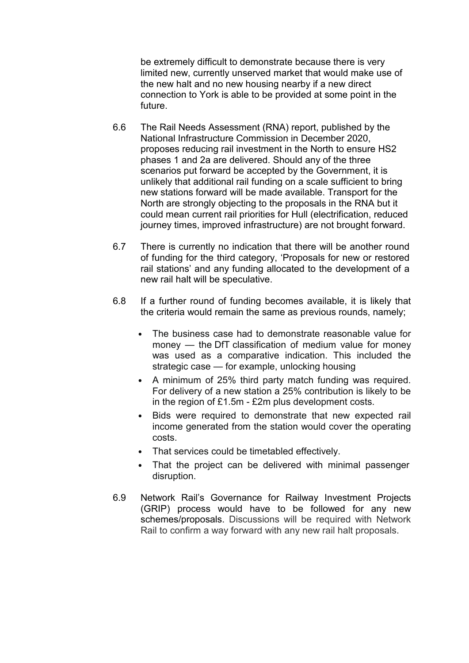be extremely difficult to demonstrate because there is very limited new, currently unserved market that would make use of the new halt and no new housing nearby if a new direct connection to York is able to be provided at some point in the future.

- 6.6 The Rail Needs Assessment (RNA) report, published by the National Infrastructure Commission in December 2020, proposes reducing rail investment in the North to ensure HS2 phases 1 and 2a are delivered. Should any of the three scenarios put forward be accepted by the Government, it is unlikely that additional rail funding on a scale sufficient to bring new stations forward will be made available. Transport for the North are strongly objecting to the proposals in the RNA but it could mean current rail priorities for Hull (electrification, reduced journey times, improved infrastructure) are not brought forward.
- 6.7 There is currently no indication that there will be another round of funding for the third category, 'Proposals for new or restored rail stations' and any funding allocated to the development of a new rail halt will be speculative.
- 6.8 If a further round of funding becomes available, it is likely that the criteria would remain the same as previous rounds, namely;
	- The business case had to demonstrate reasonable value for money — the DfT classification of medium value for money was used as a comparative indication. This included the strategic case — for example, unlocking housing
	- A minimum of 25% third party match funding was required. For delivery of a new station a 25% contribution is likely to be in the region of £1.5m - £2m plus development costs.
	- Bids were required to demonstrate that new expected rail income generated from the station would cover the operating costs.
	- That services could be timetabled effectively.
	- That the project can be delivered with minimal passenger disruption.
- 6.9 Network Rail's Governance for Railway Investment Projects (GRIP) process would have to be followed for any new schemes/proposals. Discussions will be required with Network Rail to confirm a way forward with any new rail halt proposals.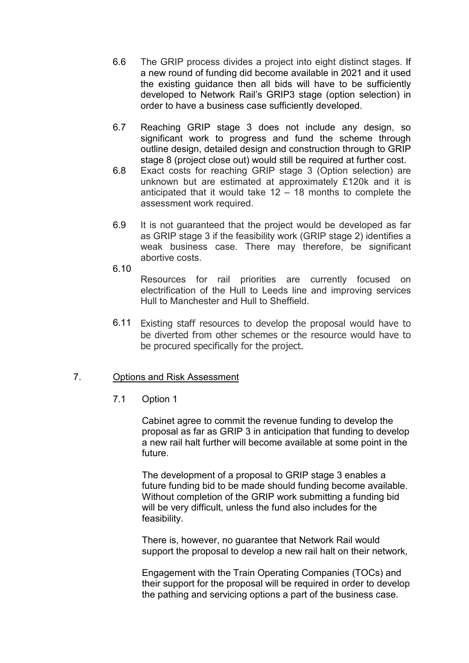- 6.6 The GRIP process divides a project into eight distinct stages. If a new round of funding did become available in 2021 and it used the existing guidance then all bids will have to be sufficiently developed to Network Rail's GRIP3 stage (option selection) in order to have a business case sufficiently developed.
- 6.7 Reaching GRIP stage 3 does not include any design, so significant work to progress and fund the scheme through outline design, detailed design and construction through to GRIP stage 8 (project close out) would still be required at further cost.
- 6.8 Exact costs for reaching GRIP stage 3 (Option selection) are unknown but are estimated at approximately £120k and it is anticipated that it would take  $12 - 18$  months to complete the assessment work required.
- 6.9 It is not guaranteed that the project would be developed as far as GRIP stage 3 if the feasibility work (GRIP stage 2) identifies a weak business case. There may therefore, be significant abortive costs.
- 6.10

Resources for rail priorities are currently focused on electrification of the Hull to Leeds line and improving services Hull to Manchester and Hull to Sheffield.

 6.11 Existing staff resources to develop the proposal would have to be diverted from other schemes or the resource would have to be procured specifically for the project.

## 7. Options and Risk Assessment

7.1 Option 1

Cabinet agree to commit the revenue funding to develop the proposal as far as GRIP 3 in anticipation that funding to develop a new rail halt further will become available at some point in the future.

The development of a proposal to GRIP stage 3 enables a future funding bid to be made should funding become available. Without completion of the GRIP work submitting a funding bid will be very difficult, unless the fund also includes for the feasibility.

There is, however, no guarantee that Network Rail would support the proposal to develop a new rail halt on their network,

Engagement with the Train Operating Companies (TOCs) and their support for the proposal will be required in order to develop the pathing and servicing options a part of the business case.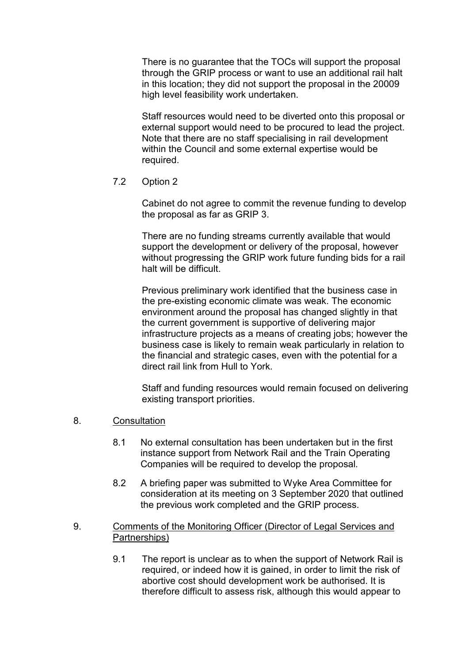There is no guarantee that the TOCs will support the proposal through the GRIP process or want to use an additional rail halt in this location; they did not support the proposal in the 20009 high level feasibility work undertaken.

Staff resources would need to be diverted onto this proposal or external support would need to be procured to lead the project. Note that there are no staff specialising in rail development within the Council and some external expertise would be required.

7.2 Option 2

Cabinet do not agree to commit the revenue funding to develop the proposal as far as GRIP 3.

There are no funding streams currently available that would support the development or delivery of the proposal, however without progressing the GRIP work future funding bids for a rail halt will be difficult.

Previous preliminary work identified that the business case in the pre-existing economic climate was weak. The economic environment around the proposal has changed slightly in that the current government is supportive of delivering major infrastructure projects as a means of creating jobs; however the business case is likely to remain weak particularly in relation to the financial and strategic cases, even with the potential for a direct rail link from Hull to York.

Staff and funding resources would remain focused on delivering existing transport priorities.

- 8. Consultation
	- 8.1 No external consultation has been undertaken but in the first instance support from Network Rail and the Train Operating Companies will be required to develop the proposal.
	- 8.2 A briefing paper was submitted to Wyke Area Committee for consideration at its meeting on 3 September 2020 that outlined the previous work completed and the GRIP process.
- 9. Comments of the Monitoring Officer (Director of Legal Services and Partnerships)
	- 9.1 The report is unclear as to when the support of Network Rail is required, or indeed how it is gained, in order to limit the risk of abortive cost should development work be authorised. It is therefore difficult to assess risk, although this would appear to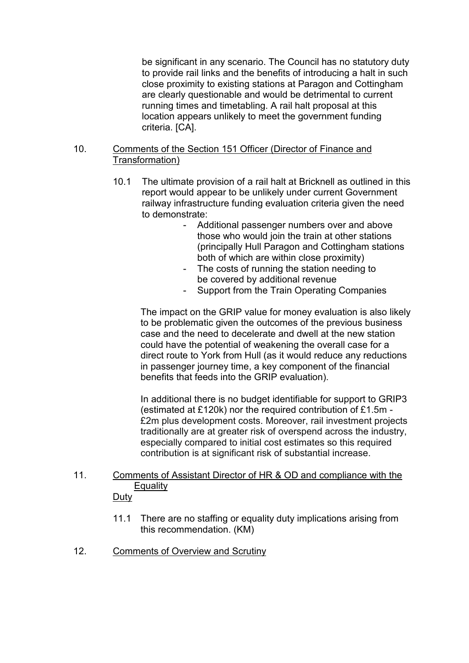be significant in any scenario. The Council has no statutory duty to provide rail links and the benefits of introducing a halt in such close proximity to existing stations at Paragon and Cottingham are clearly questionable and would be detrimental to current running times and timetabling. A rail halt proposal at this location appears unlikely to meet the government funding criteria. [CA].

#### 10. Comments of the Section 151 Officer (Director of Finance and Transformation)

- 10.1 The ultimate provision of a rail halt at Bricknell as outlined in this report would appear to be unlikely under current Government railway infrastructure funding evaluation criteria given the need to demonstrate:
	- Additional passenger numbers over and above those who would join the train at other stations (principally Hull Paragon and Cottingham stations both of which are within close proximity)
	- The costs of running the station needing to be covered by additional revenue
	- Support from the Train Operating Companies

The impact on the GRIP value for money evaluation is also likely to be problematic given the outcomes of the previous business case and the need to decelerate and dwell at the new station could have the potential of weakening the overall case for a direct route to York from Hull (as it would reduce any reductions in passenger journey time, a key component of the financial benefits that feeds into the GRIP evaluation).

In additional there is no budget identifiable for support to GRIP3 (estimated at £120k) nor the required contribution of £1.5m - £2m plus development costs. Moreover, rail investment projects traditionally are at greater risk of overspend across the industry, especially compared to initial cost estimates so this required contribution is at significant risk of substantial increase.

# 11. Comments of Assistant Director of HR & OD and compliance with the **Equality**

## **Duty**

- 11.1 There are no staffing or equality duty implications arising from this recommendation. (KM)
- 12. Comments of Overview and Scrutiny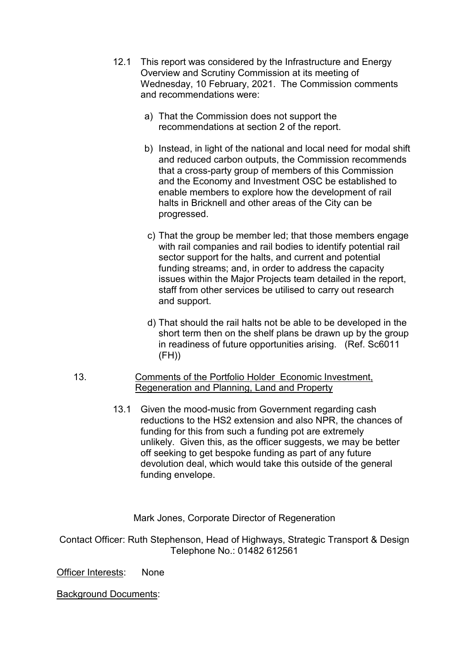- 12.1 This report was considered by the Infrastructure and Energy Overview and Scrutiny Commission at its meeting of Wednesday, 10 February, 2021. The Commission comments and recommendations were:
	- a) That the Commission does not support the recommendations at section 2 of the report.
	- b) Instead, in light of the national and local need for modal shift and reduced carbon outputs, the Commission recommends that a cross-party group of members of this Commission and the Economy and Investment OSC be established to enable members to explore how the development of rail halts in Bricknell and other areas of the City can be progressed.
	- c) That the group be member led; that those members engage with rail companies and rail bodies to identify potential rail sector support for the halts, and current and potential funding streams; and, in order to address the capacity issues within the Major Projects team detailed in the report, staff from other services be utilised to carry out research and support.
	- d) That should the rail halts not be able to be developed in the short term then on the shelf plans be drawn up by the group in readiness of future opportunities arising. (Ref. Sc6011  $(FH)$
- 13. Comments of the Portfolio Holder Economic Investment, Regeneration and Planning, Land and Property
	- 13.1 Given the mood-music from Government regarding cash reductions to the HS2 extension and also NPR, the chances of funding for this from such a funding pot are extremely unlikely. Given this, as the officer suggests, we may be better off seeking to get bespoke funding as part of any future devolution deal, which would take this outside of the general funding envelope.

Mark Jones, Corporate Director of Regeneration

Contact Officer: Ruth Stephenson, Head of Highways, Strategic Transport & Design Telephone No.: 01482 612561

Officer Interests: None

Background Documents: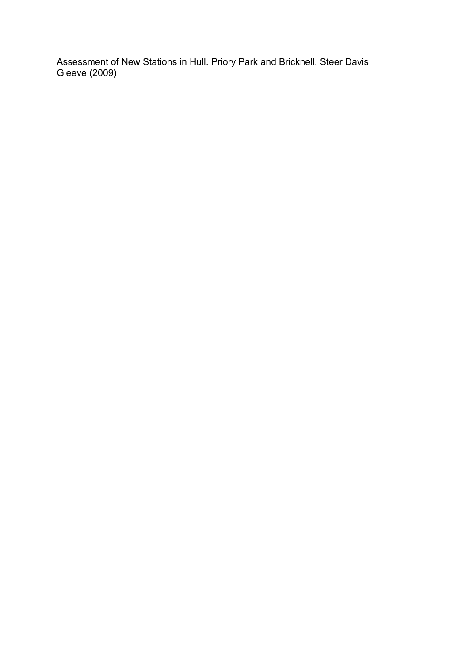Assessment of New Stations in Hull. Priory Park and Bricknell. Steer Davis Gleeve (2009)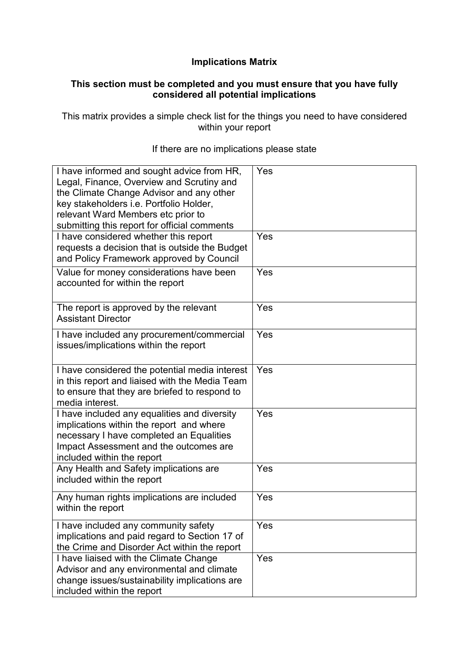### **Implications Matrix**

#### **This section must be completed and you must ensure that you have fully considered all potential implications**

This matrix provides a simple check list for the things you need to have considered within your report

| I have informed and sought advice from HR,<br>Legal, Finance, Overview and Scrutiny and<br>the Climate Change Advisor and any other<br>key stakeholders i.e. Portfolio Holder,<br>relevant Ward Members etc prior to<br>submitting this report for official comments | Yes |
|----------------------------------------------------------------------------------------------------------------------------------------------------------------------------------------------------------------------------------------------------------------------|-----|
| I have considered whether this report<br>requests a decision that is outside the Budget<br>and Policy Framework approved by Council                                                                                                                                  | Yes |
| Value for money considerations have been<br>accounted for within the report                                                                                                                                                                                          | Yes |
| The report is approved by the relevant<br><b>Assistant Director</b>                                                                                                                                                                                                  | Yes |
| I have included any procurement/commercial<br>issues/implications within the report                                                                                                                                                                                  | Yes |
| I have considered the potential media interest<br>in this report and liaised with the Media Team<br>to ensure that they are briefed to respond to<br>media interest.                                                                                                 | Yes |
| I have included any equalities and diversity<br>implications within the report and where<br>necessary I have completed an Equalities<br>Impact Assessment and the outcomes are<br>included within the report                                                         | Yes |
| Any Health and Safety implications are<br>included within the report                                                                                                                                                                                                 | Yes |
| Any human rights implications are included<br>within the report                                                                                                                                                                                                      | Yes |
| I have included any community safety<br>implications and paid regard to Section 17 of<br>the Crime and Disorder Act within the report                                                                                                                                | Yes |
| I have liaised with the Climate Change<br>Advisor and any environmental and climate<br>change issues/sustainability implications are<br>included within the report                                                                                                   | Yes |

#### If there are no implications please state